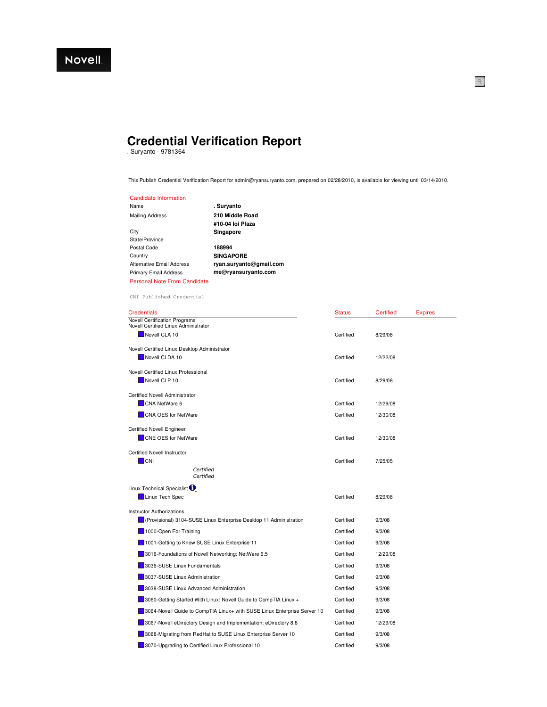## **Credential Verification Report**

. Suryanto - 9781364

This Publish Credential Verification Report for admin@ryansuryanto.com, prepared on 02/28/2010, is available for viewing until 03/14/2010.

 $\mathbb{Q}$ 

| Candidate Information        |                         |
|------------------------------|-------------------------|
| Name                         | . Survanto              |
| Mailing Address              | 210 Middle Road         |
|                              | #10-04 loi Plaza        |
| City                         | Singapore               |
| State/Province               |                         |
| Postal Code                  | 188994                  |
| Country                      | <b>SINGAPORE</b>        |
| Alternative Email Address    | ryan.suryanto@gmail.com |
| <b>Primary Email Address</b> | me@ryansuryanto.com     |
| Personal Note From Candidate |                         |

CNI Published Credential

| <b>Credentials</b>                                                           | <b>Status</b> | Certified | <b>Expires</b> |
|------------------------------------------------------------------------------|---------------|-----------|----------------|
| <b>Novell Certification Programs</b><br>Novell Certified Linux Administrator |               |           |                |
| Novell CLA 10                                                                | Certified     | 8/29/08   |                |
| Novell Certified Linux Desktop Administrator                                 |               |           |                |
| Novell CLDA 10                                                               | Certified     | 12/22/08  |                |
| Novell Certified Linux Professional                                          |               |           |                |
| Novell CLP 10                                                                | Certified     | 8/29/08   |                |
| Certified Novell Administrator                                               |               |           |                |
| CNA NetWare 6                                                                | Certified     | 12/29/08  |                |
| <b>CNA OES for NetWare</b>                                                   | Certified     | 12/30/08  |                |
| <b>Certified Novell Engineer</b>                                             |               |           |                |
| <b>CNE OES for NetWare</b>                                                   | Certified     | 12/30/08  |                |
| <b>Certified Novell Instructor</b>                                           |               |           |                |
| <b>CNI</b>                                                                   | Certified     | 7/25/05   |                |
| Certified<br>Certified                                                       |               |           |                |
| Linux Technical Specialist <sup>1</sup>                                      |               |           |                |
| Linux Tech Spec                                                              | Certified     | 8/29/08   |                |
| <b>Instructor Authorizations</b>                                             |               |           |                |
| (Provisional) 3104-SUSE Linux Enterprise Desktop 11 Administration           | Certified     | 9/3/08    |                |
| 1000-Open For Training                                                       | Certified     | 9/3/08    |                |
| 1001-Getting to Know SUSE Linux Enterprise 11                                | Certified     | 9/3/08    |                |
| 3016-Foundations of Novell Networking: NetWare 6.5                           | Certified     | 12/29/08  |                |
| 3036-SUSE Linux Fundamentals                                                 | Certified     | 9/3/08    |                |
| 3037-SUSE Linux Administration                                               | Certified     | 9/3/08    |                |
| 3038-SUSE Linux Advanced Administration                                      | Certified     | 9/3/08    |                |
| 3060-Getting Started With Linux: Novell Guide to CompTIA Linux +             | Certified     | 9/3/08    |                |
| 3064-Novell Guide to CompTIA Linux+ with SUSE Linux Enterprise Server 10     | Certified     | 9/3/08    |                |
| 3067-Novell eDirectory Design and Implementation: eDirectory 8.8             | Certified     | 12/29/08  |                |
| 3068-Migrating from RedHat to SUSE Linux Enterprise Server 10                | Certified     | 9/3/08    |                |
| 3070-Upgrading to Certified Linux Professional 10                            | Certified     | 9/3/08    |                |